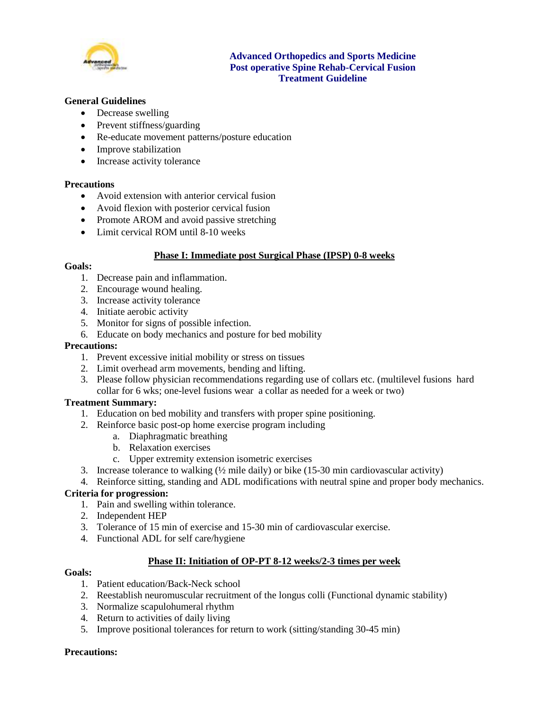

## **Advanced Orthopedics and Sports Medicine Post operative Spine Rehab-Cervical Fusion Treatment Guideline**

## **General Guidelines**

- Decrease swelling
- Prevent stiffness/guarding
- Re-educate movement patterns/posture education
- Improve stabilization
- Increase activity tolerance

#### **Precautions**

- Avoid extension with anterior cervical fusion
- Avoid flexion with posterior cervical fusion
- Promote AROM and avoid passive stretching
- Limit cervical ROM until 8-10 weeks

### **Phase I: Immediate post Surgical Phase (IPSP) 0-8 weeks**

## **Goals:**

- 1. Decrease pain and inflammation.
- 2. Encourage wound healing.
- 3. Increase activity tolerance
- 4. Initiate aerobic activity
- 5. Monitor for signs of possible infection.
- 6. Educate on body mechanics and posture for bed mobility

### **Precautions:**

- 1. Prevent excessive initial mobility or stress on tissues
- 2. Limit overhead arm movements, bending and lifting.
- 3. Please follow physician recommendations regarding use of collars etc. (multilevel fusions hard collar for 6 wks; one-level fusions wear a collar as needed for a week or two)

#### **Treatment Summary:**

- 1. Education on bed mobility and transfers with proper spine positioning.
- 2. Reinforce basic post-op home exercise program including
	- a. Diaphragmatic breathing
	- b. Relaxation exercises
	- c. Upper extremity extension isometric exercises
- 3. Increase tolerance to walking  $(\frac{1}{2})$  mile daily) or bike (15-30 min cardiovascular activity)
- 4. Reinforce sitting, standing and ADL modifications with neutral spine and proper body mechanics.

#### **Criteria for progression:**

- 1. Pain and swelling within tolerance.
- 2. Independent HEP
- 3. Tolerance of 15 min of exercise and 15-30 min of cardiovascular exercise.
- 4. Functional ADL for self care/hygiene

### **Phase II: Initiation of OP-PT 8-12 weeks/2-3 times per week**

#### **Goals:**

- 1. Patient education/Back-Neck school
- 2. Reestablish neuromuscular recruitment of the longus colli (Functional dynamic stability)
- 3. Normalize scapulohumeral rhythm
- 4. Return to activities of daily living
- 5. Improve positional tolerances for return to work (sitting/standing 30-45 min)

#### **Precautions:**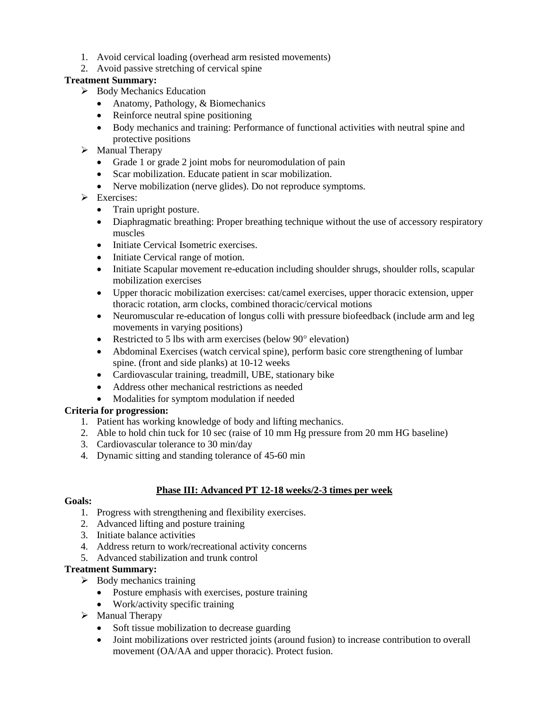- 1. Avoid cervical loading (overhead arm resisted movements)
- 2. Avoid passive stretching of cervical spine

# **Treatment Summary:**

- $\triangleright$  Body Mechanics Education
	- Anatomy, Pathology, & Biomechanics
	- Reinforce neutral spine positioning
	- Body mechanics and training: Performance of functional activities with neutral spine and protective positions
- $\triangleright$  Manual Therapy
	- Grade 1 or grade 2 joint mobs for neuromodulation of pain
	- Scar mobilization. Educate patient in scar mobilization.
	- Nerve mobilization (nerve glides). Do not reproduce symptoms.
- Exercises:
	- Train upright posture.
	- Diaphragmatic breathing: Proper breathing technique without the use of accessory respiratory muscles
	- Initiate Cervical Isometric exercises.
	- Initiate Cervical range of motion.
	- Initiate Scapular movement re-education including shoulder shrugs, shoulder rolls, scapular mobilization exercises
	- Upper thoracic mobilization exercises: cat/camel exercises, upper thoracic extension, upper thoracic rotation, arm clocks, combined thoracic/cervical motions
	- Neuromuscular re-education of longus colli with pressure biofeedback (include arm and leg movements in varying positions)
	- Restricted to 5 lbs with arm exercises (below  $90^\circ$  elevation)
	- Abdominal Exercises (watch cervical spine), perform basic core strengthening of lumbar spine. (front and side planks) at 10-12 weeks
	- Cardiovascular training, treadmill, UBE, stationary bike
	- Address other mechanical restrictions as needed
	- Modalities for symptom modulation if needed

# **Criteria for progression:**

- 1. Patient has working knowledge of body and lifting mechanics.
- 2. Able to hold chin tuck for 10 sec (raise of 10 mm Hg pressure from 20 mm HG baseline)
- 3. Cardiovascular tolerance to 30 min/day
- 4. Dynamic sitting and standing tolerance of 45-60 min

# **Phase III: Advanced PT 12-18 weeks/2-3 times per week**

## **Goals:**

- 1. Progress with strengthening and flexibility exercises.
- 2. Advanced lifting and posture training
- 3. Initiate balance activities
- 4. Address return to work/recreational activity concerns
- 5. Advanced stabilization and trunk control

## **Treatment Summary:**

- $\triangleright$  Body mechanics training
	- Posture emphasis with exercises, posture training
	- Work/activity specific training
- $\triangleright$  Manual Therapy
	- Soft tissue mobilization to decrease guarding
	- Joint mobilizations over restricted joints (around fusion) to increase contribution to overall movement (OA/AA and upper thoracic). Protect fusion.